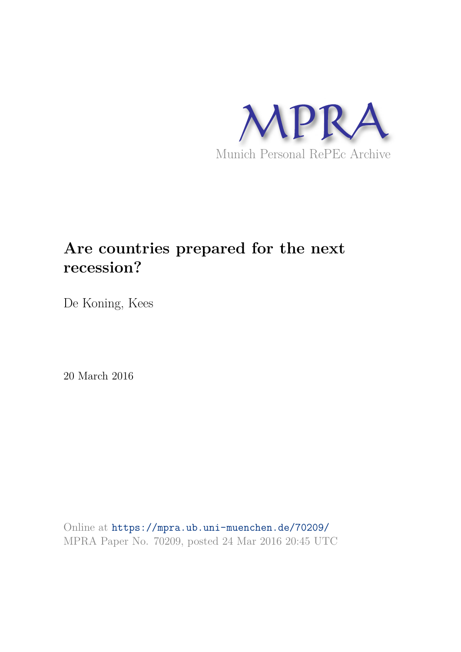

# **Are countries prepared for the next recession?**

De Koning, Kees

20 March 2016

Online at https://mpra.ub.uni-muenchen.de/70209/ MPRA Paper No. 70209, posted 24 Mar 2016 20:45 UTC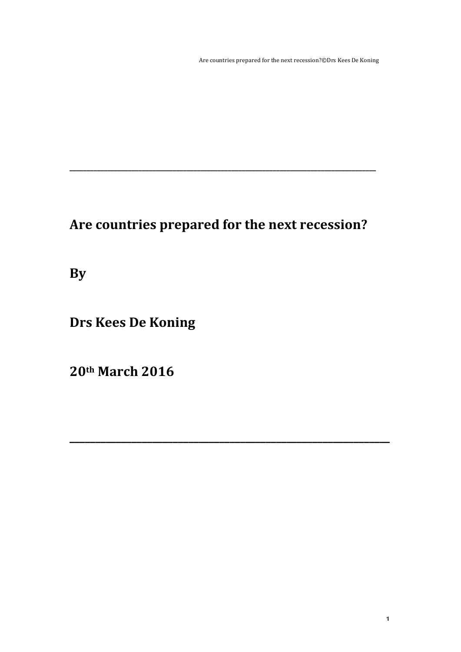Are countries prepared for the next recession?©Drs Kees De Koning

# Are countries prepared for the next recession?

**\_\_\_\_\_\_\_\_\_\_\_\_\_\_\_\_\_\_\_\_\_\_\_\_\_\_\_\_\_\_\_\_\_\_\_\_\_\_\_\_\_\_\_\_\_\_\_\_\_\_\_\_\_\_\_\_\_\_\_\_\_\_**

**\_\_\_\_\_\_\_\_\_\_\_\_\_\_\_\_\_\_\_\_\_\_\_\_\_\_\_\_\_\_\_\_\_\_\_\_\_\_\_\_\_\_\_\_\_\_\_\_\_\_\_\_\_\_\_\_\_\_\_\_\_\_\_\_\_\_\_\_\_\_\_\_\_\_\_\_\_\_\_\_\_\_\_\_\_\_\_\_\_**

**By**

**Drs Kees De Koning**

**20th March 2016**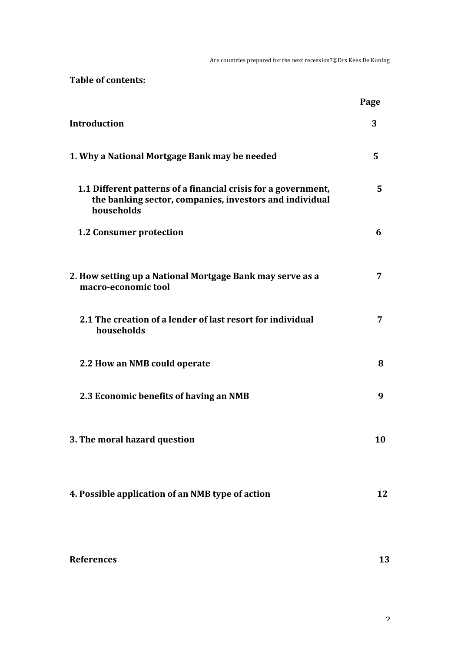Are countries prepared for the next recession?©Drs Kees De Koning

Table of contents:

|                                                                                                                                         | Page |
|-----------------------------------------------------------------------------------------------------------------------------------------|------|
| Introduction                                                                                                                            | 3    |
| 1. Why a National Mortgage Bank may be needed                                                                                           | 5    |
| 1.1 Different patterns of a financial crisis for a government,<br>the banking sector, companies, investors and individual<br>households | 5    |
| <b>1.2 Consumer protection</b>                                                                                                          | 6    |
| 2. How setting up a National Mortgage Bank may serve as a<br>macro-economic tool                                                        | 7    |
| 2.1 The creation of a lender of last resort for individual<br>households                                                                | 7    |
| 2.2 How an NMB could operate                                                                                                            | 8    |
| 2.3 Economic benefits of having an NMB                                                                                                  | 9    |
| 3. The moral hazard question                                                                                                            | 10   |
| 4. Possible application of an NMB type of action                                                                                        | 12   |

13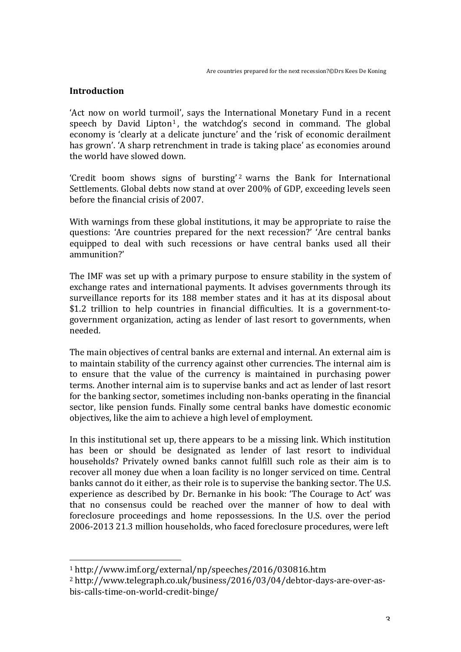## **Introduction**

'Act now on world turmoil', says the International Monetary Fund in a recent speech by David Lipton<sup>1</sup>, the watchdog's second in command. The global economy is 'clearly at a delicate juncture' and the 'risk of economic derailment has grown'. 'A sharp retrenchment in trade is taking place' as economies around the world have slowed down.

'Credit boom shows signs of bursting'<sup>2</sup> warns the Bank for International Settlements. Global debts now stand at over 200% of GDP, exceeding levels seen before the financial crisis of 2007.

With warnings from these global institutions, it may be appropriate to raise the questions: 'Are countries prepared for the next recession?' 'Are central banks equipped to deal with such recessions or have central banks used all their ammunition?' 

The IMF was set up with a primary purpose to ensure stability in the system of exchange rates and international payments. It advises governments through its surveillance reports for its 188 member states and it has at its disposal about \$1.2 trillion to help countries in financial difficulties. It is a government-togovernment organization, acting as lender of last resort to governments, when needed.

The main objectives of central banks are external and internal. An external aim is to maintain stability of the currency against other currencies. The internal aim is to ensure that the value of the currency is maintained in purchasing power terms. Another internal aim is to supervise banks and act as lender of last resort for the banking sector, sometimes including non-banks operating in the financial sector, like pension funds. Finally some central banks have domestic economic objectives, like the aim to achieve a high level of employment.

In this institutional set up, there appears to be a missing link. Which institution has been or should be designated as lender of last resort to individual households? Privately owned banks cannot fulfill such role as their aim is to recover all money due when a loan facility is no longer serviced on time. Central banks cannot do it either, as their role is to supervise the banking sector. The U.S. experience as described by Dr. Bernanke in his book: 'The Courage to Act' was that no consensus could be reached over the manner of how to deal with foreclosure proceedings and home repossessions. In the U.S. over the period 2006-2013 21.3 million households, who faced foreclosure procedures, were left

 

<sup>&</sup>lt;sup>1</sup> http://www.imf.org/external/np/speeches/2016/030816.htm

<sup>2</sup> http://www.telegraph.co.uk/business/2016/03/04/debtor-days-are-over-asbis-calls-time-on-world-credit-binge/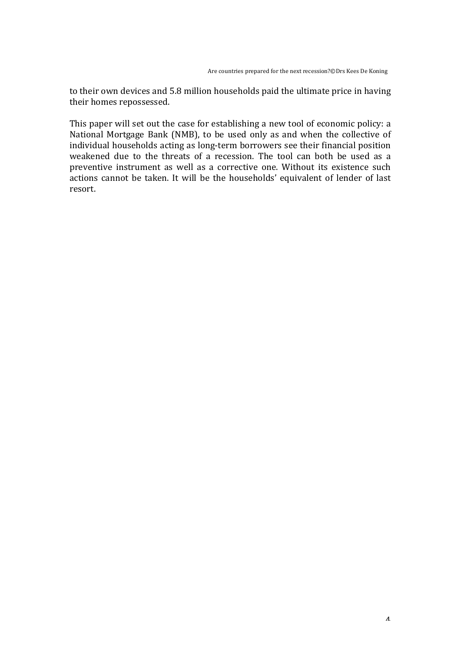to their own devices and 5.8 million households paid the ultimate price in having their homes repossessed.

This paper will set out the case for establishing a new tool of economic policy: a National Mortgage Bank (NMB), to be used only as and when the collective of individual households acting as long-term borrowers see their financial position weakened due to the threats of a recession. The tool can both be used as a preventive instrument as well as a corrective one. Without its existence such actions cannot be taken. It will be the households' equivalent of lender of last resort.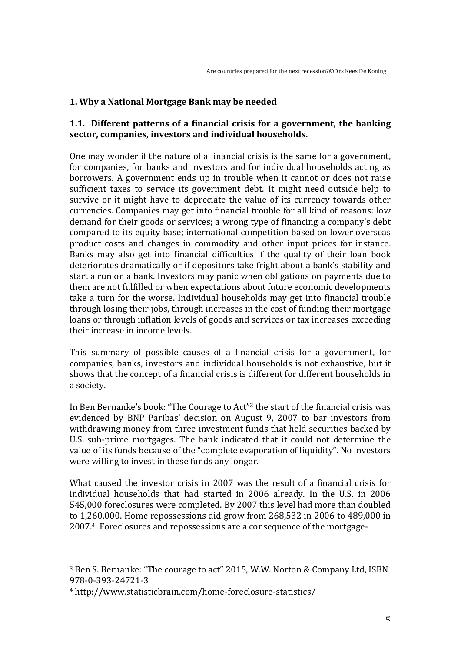# **1. Why a National Mortgage Bank may be needed**

## **1.1.** Different patterns of a financial crisis for a government, the banking sector, companies, investors and individual households.

One may wonder if the nature of a financial crisis is the same for a government. for companies, for banks and investors and for individual households acting as borrowers. A government ends up in trouble when it cannot or does not raise sufficient taxes to service its government debt. It might need outside help to survive or it might have to depreciate the value of its currency towards other currencies. Companies may get into financial trouble for all kind of reasons: low demand for their goods or services; a wrong type of financing a company's debt compared to its equity base; international competition based on lower overseas product costs and changes in commodity and other input prices for instance. Banks may also get into financial difficulties if the quality of their loan book deteriorates dramatically or if depositors take fright about a bank's stability and start a run on a bank. Investors may panic when obligations on payments due to them are not fulfilled or when expectations about future economic developments take a turn for the worse. Individual households may get into financial trouble through losing their jobs, through increases in the cost of funding their mortgage loans or through inflation levels of goods and services or tax increases exceeding their increase in income levels.

This summary of possible causes of a financial crisis for a government, for companies, banks, investors and individual households is not exhaustive, but it shows that the concept of a financial crisis is different for different households in a society.

In Ben Bernanke's book: "The Courage to Act"<sup>3</sup> the start of the financial crisis was evidenced by BNP Paribas' decision on August 9, 2007 to bar investors from withdrawing money from three investment funds that held securities backed by U.S. sub-prime mortgages. The bank indicated that it could not determine the value of its funds because of the "complete evaporation of liquidity". No investors were willing to invest in these funds any longer.

What caused the investor crisis in 2007 was the result of a financial crisis for individual households that had started in 2006 already. In the U.S. in 2006 545,000 foreclosures were completed. By 2007 this level had more than doubled to  $1,260,000$ . Home repossessions did grow from  $268,532$  in  $2006$  to  $489,000$  in 2007.4 Foreclosures and repossessions are a consequence of the mortgage-

 

<sup>&</sup>lt;sup>3</sup> Ben S. Bernanke: "The courage to act" 2015, W.W. Norton & Company Ltd, ISBN 978-0-393-24721-3 

<sup>4</sup> http://www.statisticbrain.com/home-foreclosure-statistics/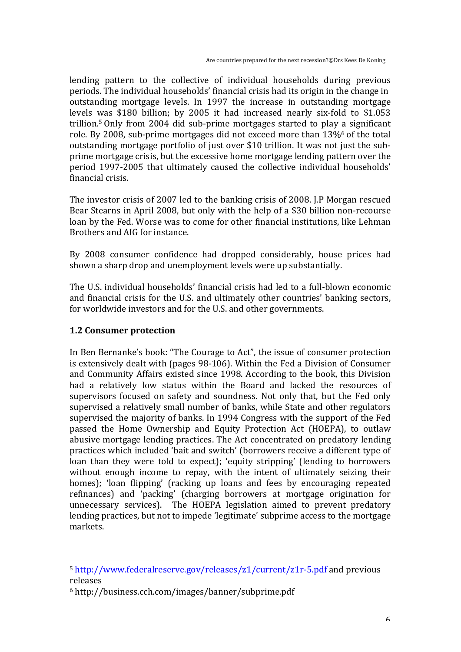lending pattern to the collective of individual households during previous periods. The individual households' financial crisis had its origin in the change in outstanding mortgage levels. In 1997 the increase in outstanding mortgage levels was \$180 billion; by 2005 it had increased nearly six-fold to \$1.053 trillion.<sup>5</sup> Only from 2004 did sub-prime mortgages started to play a significant role. By 2008, sub-prime mortgages did not exceed more than  $13\%$ <sup>6</sup> of the total outstanding mortgage portfolio of just over \$10 trillion. It was not just the subprime mortgage crisis, but the excessive home mortgage lending pattern over the period 1997-2005 that ultimately caused the collective individual households' financial crisis.

The investor crisis of 2007 led to the banking crisis of 2008. I.P Morgan rescued Bear Stearns in April 2008, but only with the help of a \$30 billion non-recourse loan by the Fed. Worse was to come for other financial institutions, like Lehman Brothers and AIG for instance.

By 2008 consumer confidence had dropped considerably, house prices had shown a sharp drop and unemployment levels were up substantially.

The U.S. individual households' financial crisis had led to a full-blown economic and financial crisis for the U.S. and ultimately other countries' banking sectors, for worldwide investors and for the U.S. and other governments.

### **1.2 Consumer protection**

 

In Ben Bernanke's book: "The Courage to Act", the issue of consumer protection is extensively dealt with (pages 98-106). Within the Fed a Division of Consumer and Community Affairs existed since 1998. According to the book, this Division had a relatively low status within the Board and lacked the resources of supervisors focused on safety and soundness. Not only that, but the Fed only supervised a relatively small number of banks, while State and other regulators supervised the majority of banks. In 1994 Congress with the support of the Fed passed the Home Ownership and Equity Protection Act (HOEPA), to outlaw abusive mortgage lending practices. The Act concentrated on predatory lending practices which included 'bait and switch' (borrowers receive a different type of loan than they were told to expect); 'equity stripping' (lending to borrowers without enough income to repay, with the intent of ultimately seizing their homes); 'loan flipping' (racking up loans and fees by encouraging repeated refinances) and 'packing' (charging borrowers at mortgage origination for unnecessary services). The HOEPA legislation aimed to prevent predatory lending practices, but not to impede 'legitimate' subprime access to the mortgage markets. 

<sup>&</sup>lt;sup>5</sup> http://www.federalreserve.gov/releases/z1/current/z1r-5.pdf and previous releases

 $6$  http://business.cch.com/images/banner/subprime.pdf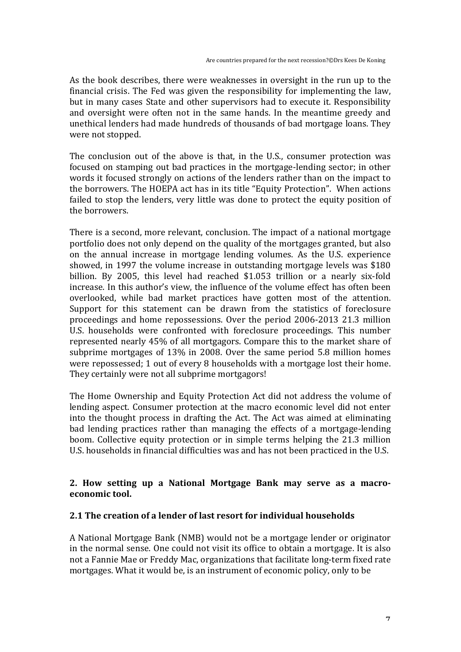As the book describes, there were weaknesses in oversight in the run up to the financial crisis. The Fed was given the responsibility for implementing the law, but in many cases State and other supervisors had to execute it. Responsibility and oversight were often not in the same hands. In the meantime greedy and unethical lenders had made hundreds of thousands of bad mortgage loans. They were not stopped.

The conclusion out of the above is that, in the U.S., consumer protection was focused on stamping out bad practices in the mortgage-lending sector; in other words it focused strongly on actions of the lenders rather than on the impact to the borrowers. The HOEPA act has in its title "Equity Protection". When actions failed to stop the lenders, very little was done to protect the equity position of the **borrowers**.

There is a second, more relevant, conclusion. The impact of a national mortgage portfolio does not only depend on the quality of the mortgages granted, but also on the annual increase in mortgage lending volumes. As the U.S. experience showed, in 1997 the volume increase in outstanding mortgage levels was \$180 billion. By 2005, this level had reached \$1.053 trillion or a nearly six-fold increase. In this author's view, the influence of the volume effect has often been overlooked, while bad market practices have gotten most of the attention. Support for this statement can be drawn from the statistics of foreclosure proceedings and home repossessions. Over the period 2006-2013 21.3 million U.S. households were confronted with foreclosure proceedings. This number represented nearly 45% of all mortgagors. Compare this to the market share of subprime mortgages of  $13\%$  in 2008. Over the same period 5.8 million homes were repossessed; 1 out of every 8 households with a mortgage lost their home. They certainly were not all subprime mortgagors!

The Home Ownership and Equity Protection Act did not address the volume of lending aspect. Consumer protection at the macro economic level did not enter into the thought process in drafting the Act. The Act was aimed at eliminating bad lending practices rather than managing the effects of a mortgage-lending boom. Collective equity protection or in simple terms helping the 21.3 million U.S. households in financial difficulties was and has not been practiced in the U.S.

### 2. How setting up a National Mortgage Bank may serve as a macro**economic** tool.

### **2.1 The creation of a lender of last resort for individual households**

A National Mortgage Bank (NMB) would not be a mortgage lender or originator in the normal sense. One could not visit its office to obtain a mortgage. It is also not a Fannie Mae or Freddy Mac, organizations that facilitate long-term fixed rate mortgages. What it would be, is an instrument of economic policy, only to be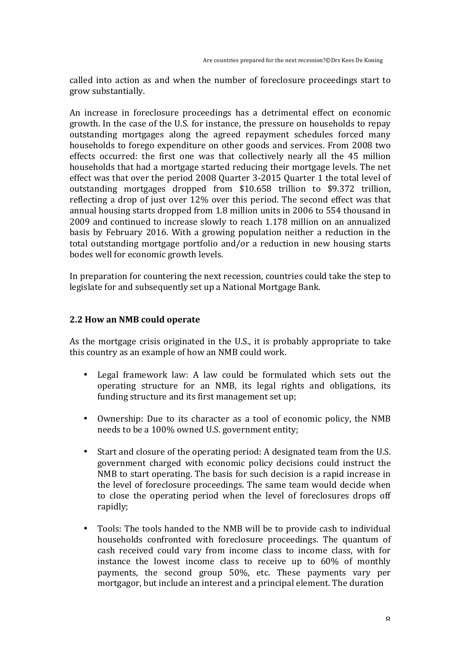called into action as and when the number of foreclosure proceedings start to grow substantially.

An increase in foreclosure proceedings has a detrimental effect on economic growth. In the case of the U.S. for instance, the pressure on households to repay outstanding mortgages along the agreed repayment schedules forced many households to forego expenditure on other goods and services. From 2008 two effects occurred: the first one was that collectively nearly all the 45 million households that had a mortgage started reducing their mortgage levels. The net effect was that over the period 2008 Quarter 3-2015 Quarter 1 the total level of outstanding mortgages dropped from \$10.658 trillion to \$9.372 trillion, reflecting a drop of just over  $12\%$  over this period. The second effect was that annual housing starts dropped from 1.8 million units in 2006 to 554 thousand in 2009 and continued to increase slowly to reach 1.178 million on an annualized basis by February 2016. With a growing population neither a reduction in the total outstanding mortgage portfolio and/or a reduction in new housing starts bodes well for economic growth levels.

In preparation for countering the next recession, countries could take the step to legislate for and subsequently set up a National Mortgage Bank.

#### **2.2 How an NMB could operate**

As the mortgage crisis originated in the U.S., it is probably appropriate to take this country as an example of how an NMB could work.

- Legal framework law: A law could be formulated which sets out the operating structure for an NMB, its legal rights and obligations, its funding structure and its first management set up;
- Ownership: Due to its character as a tool of economic policy, the NMB needs to be a 100% owned U.S. government entity;
- Start and closure of the operating period: A designated team from the U.S. government charged with economic policy decisions could instruct the NMB to start operating. The basis for such decision is a rapid increase in the level of foreclosure proceedings. The same team would decide when to close the operating period when the level of foreclosures drops off rapidly;
- Tools: The tools handed to the NMB will be to provide cash to individual households confronted with foreclosure proceedings. The quantum of cash received could vary from income class to income class, with for instance the lowest income class to receive up to  $60\%$  of monthly payments, the second group 50%, etc. These payments vary per mortgagor, but include an interest and a principal element. The duration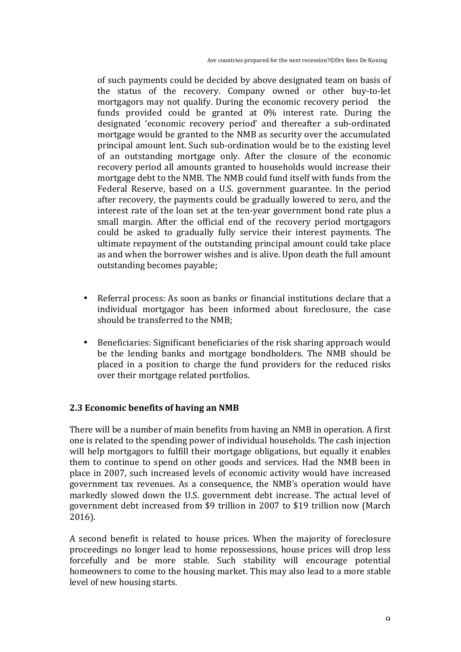Are countries prepared for the next recession?©Drs Kees De Koning

of such payments could be decided by above designated team on basis of the status of the recovery. Company owned or other buy-to-let mortgagors may not qualify. During the economic recovery period the funds provided could be granted at  $0\%$  interest rate. During the designated 'economic recovery period' and thereafter a sub-ordinated mortgage would be granted to the NMB as security over the accumulated principal amount lent. Such sub-ordination would be to the existing level of an outstanding mortgage only. After the closure of the economic recovery period all amounts granted to households would increase their mortgage debt to the NMB. The NMB could fund itself with funds from the Federal Reserve, based on a U.S. government guarantee. In the period after recovery, the payments could be gradually lowered to zero, and the interest rate of the loan set at the ten-year government bond rate plus a small margin. After the official end of the recovery period mortgagors could be asked to gradually fully service their interest payments. The ultimate repayment of the outstanding principal amount could take place as and when the borrower wishes and is alive. Upon death the full amount outstanding becomes payable;

- Referral process: As soon as banks or financial institutions declare that a individual mortgagor has been informed about foreclosure, the case should be transferred to the NMB;
- Beneficiaries: Significant beneficiaries of the risk sharing approach would be the lending banks and mortgage bondholders. The NMB should be placed in a position to charge the fund providers for the reduced risks over their mortgage related portfolios.

### **2.3 Economic benefits of having an NMB**

There will be a number of main benefits from having an NMB in operation. A first one is related to the spending power of individual households. The cash injection will help mortgagors to fulfill their mortgage obligations, but equally it enables them to continue to spend on other goods and services. Had the NMB been in place in 2007, such increased levels of economic activity would have increased government tax revenues. As a consequence, the NMB's operation would have markedly slowed down the U.S. government debt increase. The actual level of government debt increased from \$9 trillion in 2007 to \$19 trillion now (March 2016).

A second benefit is related to house prices. When the majority of foreclosure proceedings no longer lead to home repossessions, house prices will drop less forcefully and be more stable. Such stability will encourage potential homeowners to come to the housing market. This may also lead to a more stable level of new housing starts.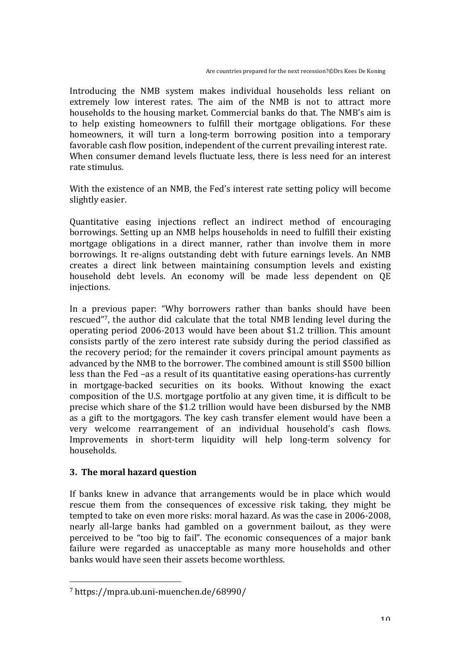Introducing the NMB system makes individual households less reliant on extremely low interest rates. The aim of the NMB is not to attract more households to the housing market. Commercial banks do that. The NMB's aim is to help existing homeowners to fulfill their mortgage obligations. For these homeowners, it will turn a long-term borrowing position into a temporary favorable cash flow position, independent of the current prevailing interest rate. When consumer demand levels fluctuate less, there is less need for an interest rate stimulus

With the existence of an NMB, the Fed's interest rate setting policy will become slightly easier.

Quantitative easing injections reflect an indirect method of encouraging borrowings. Setting up an NMB helps households in need to fulfill their existing mortgage obligations in a direct manner, rather than involve them in more borrowings. It re-aligns outstanding debt with future earnings levels. An NMB creates a direct link between maintaining consumption levels and existing household debt levels. An economy will be made less dependent on OE injections.

In a previous paper: "Why borrowers rather than banks should have been rescued"<sup>7</sup>, the author did calculate that the total NMB lending level during the operating period  $2006-2013$  would have been about \$1.2 trillion. This amount consists partly of the zero interest rate subsidy during the period classified as the recovery period; for the remainder it covers principal amount payments as advanced by the NMB to the borrower. The combined amount is still \$500 billion less than the Fed –as a result of its quantitative easing operations-has currently in mortgage-backed securities on its books. Without knowing the exact composition of the U.S. mortgage portfolio at any given time, it is difficult to be precise which share of the \$1.2 trillion would have been disbursed by the NMB as a gift to the mortgagors. The key cash transfer element would have been a very welcome rearrangement of an individual household's cash flows. Improvements in short-term liquidity will help long-term solvency for households.

### **3.** The moral hazard question

 

If banks knew in advance that arrangements would be in place which would rescue them from the consequences of excessive risk taking, they might be tempted to take on even more risks: moral hazard. As was the case in 2006-2008, nearly all-large banks had gambled on a government bailout, as they were perceived to be "too big to fail". The economic consequences of a major bank failure were regarded as unacceptable as many more households and other banks would have seen their assets become worthless.

<sup>7</sup> https://mpra.ub.uni-muenchen.de/68990/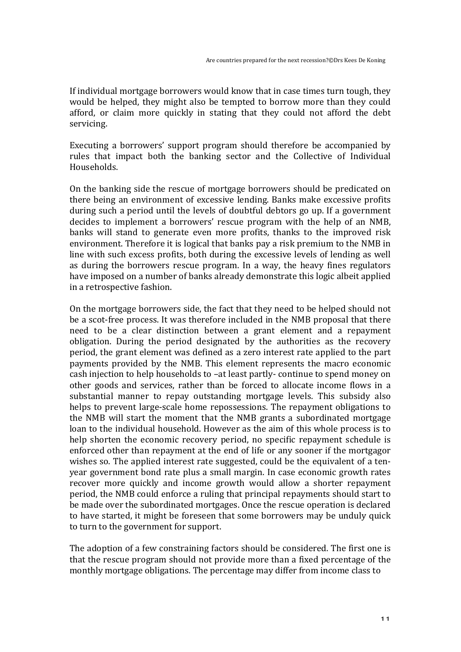If individual mortgage borrowers would know that in case times turn tough, they would be helped, they might also be tempted to borrow more than they could afford, or claim more quickly in stating that they could not afford the debt servicing.

Executing a borrowers' support program should therefore be accompanied by rules that impact both the banking sector and the Collective of Individual Households.

On the banking side the rescue of mortgage borrowers should be predicated on there being an environment of excessive lending. Banks make excessive profits during such a period until the levels of doubtful debtors go up. If a government decides to implement a borrowers' rescue program with the help of an NMB, banks will stand to generate even more profits, thanks to the improved risk environment. Therefore it is logical that banks pay a risk premium to the NMB in line with such excess profits, both during the excessive levels of lending as well as during the borrowers rescue program. In a way, the heavy fines regulators have imposed on a number of banks already demonstrate this logic albeit applied in a retrospective fashion.

On the mortgage borrowers side, the fact that they need to be helped should not be a scot-free process. It was therefore included in the NMB proposal that there need to be a clear distinction between a grant element and a repayment obligation. During the period designated by the authorities as the recovery period, the grant element was defined as a zero interest rate applied to the part payments provided by the NMB. This element represents the macro economic cash injection to help households to -at least partly- continue to spend money on other goods and services, rather than be forced to allocate income flows in a substantial manner to repay outstanding mortgage levels. This subsidy also helps to prevent large-scale home repossessions. The repayment obligations to the NMB will start the moment that the NMB grants a subordinated mortgage loan to the individual household. However as the aim of this whole process is to help shorten the economic recovery period, no specific repayment schedule is enforced other than repayment at the end of life or any sooner if the mortgagor wishes so. The applied interest rate suggested, could be the equivalent of a tenyear government bond rate plus a small margin. In case economic growth rates recover more quickly and income growth would allow a shorter repayment period, the NMB could enforce a ruling that principal repayments should start to be made over the subordinated mortgages. Once the rescue operation is declared to have started, it might be foreseen that some borrowers may be unduly quick to turn to the government for support.

The adoption of a few constraining factors should be considered. The first one is that the rescue program should not provide more than a fixed percentage of the monthly mortgage obligations. The percentage may differ from income class to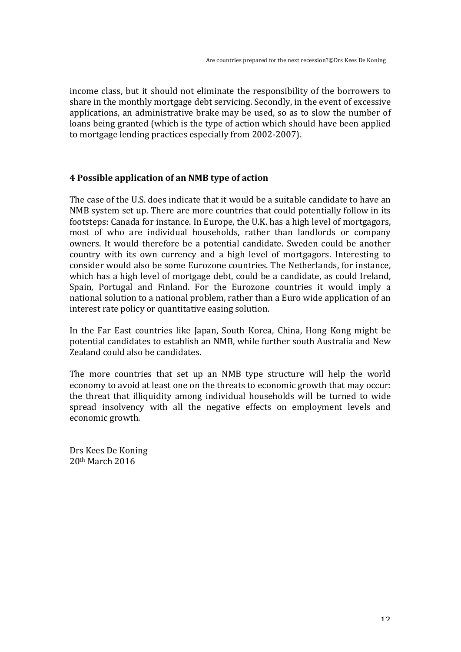income class, but it should not eliminate the responsibility of the borrowers to share in the monthly mortgage debt servicing. Secondly, in the event of excessive applications, an administrative brake may be used, so as to slow the number of loans being granted (which is the type of action which should have been applied to mortgage lending practices especially from 2002-2007).

#### **4 Possible application of an NMB type of action**

The case of the U.S. does indicate that it would be a suitable candidate to have an NMB system set up. There are more countries that could potentially follow in its footsteps: Canada for instance. In Europe, the U.K. has a high level of mortgagors, most of who are individual households, rather than landlords or company owners. It would therefore be a potential candidate. Sweden could be another country with its own currency and a high level of mortgagors. Interesting to consider would also be some Eurozone countries. The Netherlands, for instance, which has a high level of mortgage debt, could be a candidate, as could Ireland, Spain, Portugal and Finland. For the Eurozone countries it would imply a national solution to a national problem, rather than a Euro wide application of an interest rate policy or quantitative easing solution.

In the Far East countries like Japan, South Korea, China, Hong Kong might be potential candidates to establish an NMB, while further south Australia and New Zealand could also be candidates.

The more countries that set up an NMB type structure will help the world economy to avoid at least one on the threats to economic growth that may occur: the threat that illiquidity among individual households will be turned to wide spread insolvency with all the negative effects on employment levels and economic growth.

Drs Kees De Koning  $20th$  March  $2016$